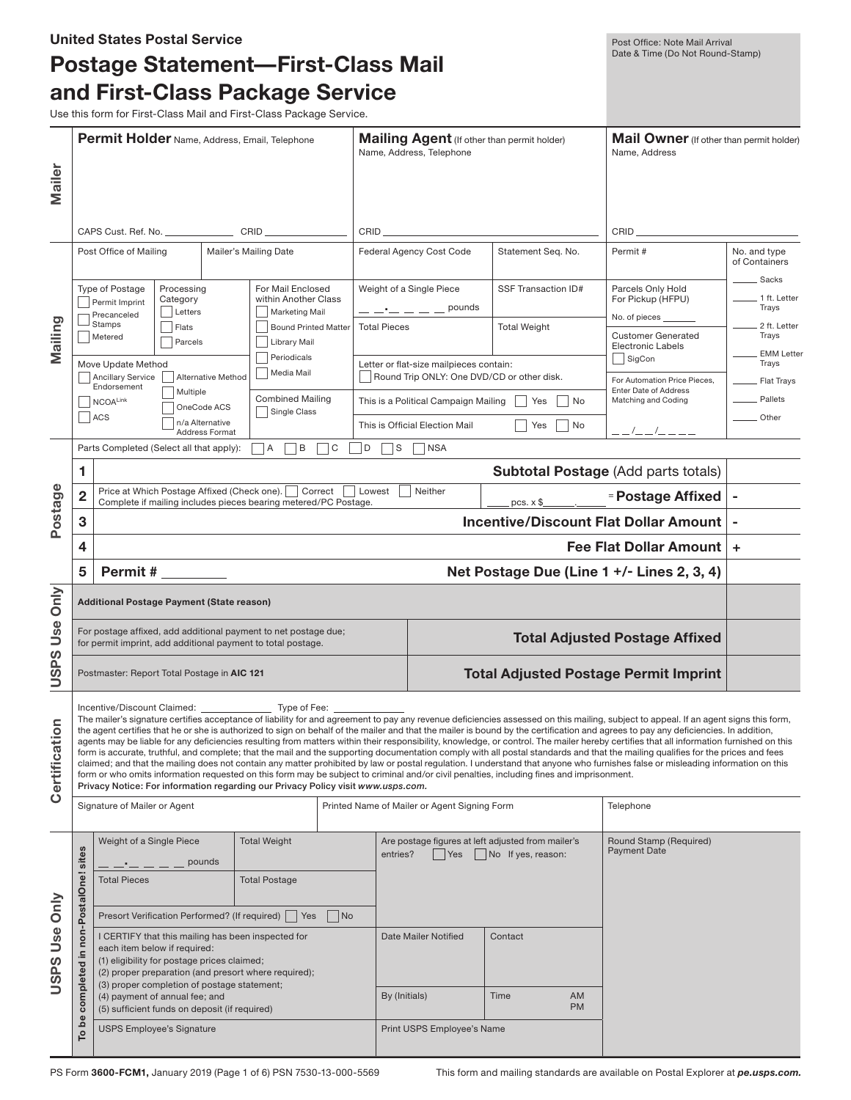|               |                                                                                                                                                                                                                         | <b>United States Postal Service</b><br>Postage Statement—First-Class Mail<br>and First-Class Package Service<br>Use this form for First-Class Mail and First-Class Package Service. |                                                         |                                                                    |                          |                                                                                                                                                                                                                                                                                                                                                                                       |                                                                                                                                           | Post Office: Note Mail Arrival<br>Date & Time (Do Not Round-Stamp)                                                                                                                                                                                                                                                                                                                                                                                                                                                                                                                                                                                                                                                                                                                                                                                                                                                                             |                                            |
|---------------|-------------------------------------------------------------------------------------------------------------------------------------------------------------------------------------------------------------------------|-------------------------------------------------------------------------------------------------------------------------------------------------------------------------------------|---------------------------------------------------------|--------------------------------------------------------------------|--------------------------|---------------------------------------------------------------------------------------------------------------------------------------------------------------------------------------------------------------------------------------------------------------------------------------------------------------------------------------------------------------------------------------|-------------------------------------------------------------------------------------------------------------------------------------------|------------------------------------------------------------------------------------------------------------------------------------------------------------------------------------------------------------------------------------------------------------------------------------------------------------------------------------------------------------------------------------------------------------------------------------------------------------------------------------------------------------------------------------------------------------------------------------------------------------------------------------------------------------------------------------------------------------------------------------------------------------------------------------------------------------------------------------------------------------------------------------------------------------------------------------------------|--------------------------------------------|
| Mailer        | <b>Permit Holder Name, Address, Email, Telephone</b>                                                                                                                                                                    |                                                                                                                                                                                     |                                                         |                                                                    | Name, Address, Telephone | Mailing Agent (If other than permit holder)                                                                                                                                                                                                                                                                                                                                           | Mail Owner (If other than permit holder)<br>Name, Address                                                                                 |                                                                                                                                                                                                                                                                                                                                                                                                                                                                                                                                                                                                                                                                                                                                                                                                                                                                                                                                                |                                            |
|               |                                                                                                                                                                                                                         | CAPS Cust. Ref. No. _______________________CRID _________________________________                                                                                                   |                                                         |                                                                    |                          | $CRID \begin{tabular}{l} \hline \rule[1mm]{1mm}{1.2mm} \rule{2mm}{2.2mm} \rule{2mm}{2.2mm} \rule{2mm}{2.2mm} \rule{2mm}{2.2mm} \rule{2mm}{2.2mm} \rule{2mm}{2.2mm} \rule{2mm}{2.2mm} \rule{2mm}{2.2mm} \rule{2mm}{2.2mm} \rule{2mm}{2.2mm} \rule{2mm}{2.2mm} \rule{2mm}{2.2mm} \rule{2mm}{2.2mm} \rule{2mm}{2.2mm} \rule{2mm}{2.2mm} \rule{2mm}{2.2mm} \rule{2mm}{2.2mm} \rule{2mm}{$ |                                                                                                                                           |                                                                                                                                                                                                                                                                                                                                                                                                                                                                                                                                                                                                                                                                                                                                                                                                                                                                                                                                                |                                            |
|               |                                                                                                                                                                                                                         | Post Office of Mailing                                                                                                                                                              |                                                         | Mailer's Mailing Date                                              |                          | Federal Agency Cost Code                                                                                                                                                                                                                                                                                                                                                              | Statement Seq. No.                                                                                                                        | Permit#                                                                                                                                                                                                                                                                                                                                                                                                                                                                                                                                                                                                                                                                                                                                                                                                                                                                                                                                        | No. and type<br>of Containers<br>_ Sacks   |
|               |                                                                                                                                                                                                                         | Type of Postage<br>Processing<br>Category<br>Permit Imprint<br>Letters<br>Precanceled                                                                                               |                                                         | For Mail Enclosed<br>within Another Class<br><b>Marketing Mail</b> |                          | Weight of a Single Piece<br>$        \mathsf{pounds}$                                                                                                                                                                                                                                                                                                                                 | SSF Transaction ID#                                                                                                                       | Parcels Only Hold<br>For Pickup (HFPU)<br>No. of pieces                                                                                                                                                                                                                                                                                                                                                                                                                                                                                                                                                                                                                                                                                                                                                                                                                                                                                        | _ 1 ft. Letter<br>Trays                    |
| Mailing       |                                                                                                                                                                                                                         | <b>Stamps</b><br>Flats<br>Metered<br>Parcels                                                                                                                                        |                                                         | <b>Bound Printed Matter</b><br>Library Mail<br>Periodicals         | <b>Total Pieces</b>      |                                                                                                                                                                                                                                                                                                                                                                                       | <b>Total Weight</b>                                                                                                                       | <b>Customer Generated</b><br><b>Electronic Labels</b><br>SigCon                                                                                                                                                                                                                                                                                                                                                                                                                                                                                                                                                                                                                                                                                                                                                                                                                                                                                | $\_$ 2 ft. Letter<br>Trays<br>_ EMM Letter |
|               |                                                                                                                                                                                                                         | Move Update Method<br>Ancillary Service<br>Endorsement<br>Multiple<br><b>NCOALink</b>                                                                                               | Alternative Method                                      | Media Mail<br><b>Combined Mailing</b>                              |                          | Letter or flat-size mailpieces contain:<br>This is a Political Campaign Mailing                                                                                                                                                                                                                                                                                                       | Round Trip ONLY: One DVD/CD or other disk.<br>Yes<br>No                                                                                   | For Automation Price Pieces,<br><b>Enter Date of Address</b><br>Matching and Coding                                                                                                                                                                                                                                                                                                                                                                                                                                                                                                                                                                                                                                                                                                                                                                                                                                                            | Trays<br>Flat Trays<br>Pallets             |
|               |                                                                                                                                                                                                                         | ACS                                                                                                                                                                                 | OneCode ACS<br>n/a Alternative<br><b>Address Format</b> | Single Class                                                       |                          | This is Official Election Mail                                                                                                                                                                                                                                                                                                                                                        | Yes<br><b>No</b>                                                                                                                          | $- -$ /_ _ /_ _ _ _                                                                                                                                                                                                                                                                                                                                                                                                                                                                                                                                                                                                                                                                                                                                                                                                                                                                                                                            | Other                                      |
|               | B<br>C<br>Parts Completed (Select all that apply):<br>$\overline{A}$<br>D<br> S <br>$ $ NSA                                                                                                                             |                                                                                                                                                                                     |                                                         |                                                                    |                          |                                                                                                                                                                                                                                                                                                                                                                                       |                                                                                                                                           |                                                                                                                                                                                                                                                                                                                                                                                                                                                                                                                                                                                                                                                                                                                                                                                                                                                                                                                                                |                                            |
|               | 1<br><b>Subtotal Postage (Add parts totals)</b>                                                                                                                                                                         |                                                                                                                                                                                     |                                                         |                                                                    |                          |                                                                                                                                                                                                                                                                                                                                                                                       |                                                                                                                                           |                                                                                                                                                                                                                                                                                                                                                                                                                                                                                                                                                                                                                                                                                                                                                                                                                                                                                                                                                |                                            |
| Postage       | Price at Which Postage Affixed (Check one).<br>Correct<br>Neither<br>Lowest<br>2<br>Complete if mailing includes pieces bearing metered/PC Postage.<br>$pcs. x$ \$<br><b>Incentive/Discount Flat Dollar Amount</b><br>3 |                                                                                                                                                                                     |                                                         |                                                                    |                          |                                                                                                                                                                                                                                                                                                                                                                                       | <b>Postage Affixed</b>                                                                                                                    | ۰<br>$\blacksquare$                                                                                                                                                                                                                                                                                                                                                                                                                                                                                                                                                                                                                                                                                                                                                                                                                                                                                                                            |                                            |
|               | <b>Fee Flat Dollar Amount</b><br>4                                                                                                                                                                                      |                                                                                                                                                                                     |                                                         |                                                                    |                          |                                                                                                                                                                                                                                                                                                                                                                                       | ÷                                                                                                                                         |                                                                                                                                                                                                                                                                                                                                                                                                                                                                                                                                                                                                                                                                                                                                                                                                                                                                                                                                                |                                            |
|               | 5                                                                                                                                                                                                                       | Permit $#_$                                                                                                                                                                         |                                                         |                                                                    |                          |                                                                                                                                                                                                                                                                                                                                                                                       |                                                                                                                                           | Net Postage Due (Line 1 +/- Lines 2, 3, 4)                                                                                                                                                                                                                                                                                                                                                                                                                                                                                                                                                                                                                                                                                                                                                                                                                                                                                                     |                                            |
|               |                                                                                                                                                                                                                         |                                                                                                                                                                                     |                                                         |                                                                    |                          |                                                                                                                                                                                                                                                                                                                                                                                       |                                                                                                                                           |                                                                                                                                                                                                                                                                                                                                                                                                                                                                                                                                                                                                                                                                                                                                                                                                                                                                                                                                                |                                            |
| Only          | Additional Postage Payment (State reason)                                                                                                                                                                               |                                                                                                                                                                                     |                                                         |                                                                    |                          |                                                                                                                                                                                                                                                                                                                                                                                       |                                                                                                                                           |                                                                                                                                                                                                                                                                                                                                                                                                                                                                                                                                                                                                                                                                                                                                                                                                                                                                                                                                                |                                            |
| Use<br>ഗ      | For postage affixed, add additional payment to net postage due;<br>for permit imprint, add additional payment to total postage.                                                                                         |                                                                                                                                                                                     |                                                         |                                                                    |                          | <b>Total Adjusted Postage Affixed</b>                                                                                                                                                                                                                                                                                                                                                 |                                                                                                                                           |                                                                                                                                                                                                                                                                                                                                                                                                                                                                                                                                                                                                                                                                                                                                                                                                                                                                                                                                                |                                            |
| ă<br>SP       |                                                                                                                                                                                                                         | Postmaster: Report Total Postage in AIC 121                                                                                                                                         |                                                         |                                                                    |                          |                                                                                                                                                                                                                                                                                                                                                                                       |                                                                                                                                           | <b>Total Adjusted Postage Permit Imprint</b>                                                                                                                                                                                                                                                                                                                                                                                                                                                                                                                                                                                                                                                                                                                                                                                                                                                                                                   |                                            |
| Certification |                                                                                                                                                                                                                         | Privacy Notice: For information regarding our Privacy Policy visit www.usps.com.                                                                                                    |                                                         |                                                                    |                          |                                                                                                                                                                                                                                                                                                                                                                                       | form or who omits information requested on this form may be subject to criminal and/or civil penalties, including fines and imprisonment. | The mailer's signature certifies acceptance of liability for and agreement to pay any revenue deficiencies assessed on this mailing, subject to appeal. If an agent signs this form,<br>the agent certifies that he or she is authorized to sign on behalf of the mailer and that the mailer is bound by the certification and agrees to pay any deficiencies. In addition,<br>agents may be liable for any deficiencies resulting from matters within their responsibility, knowledge, or control. The mailer hereby certifies that all information furnished on this<br>form is accurate, truthful, and complete; that the mail and the supporting documentation comply with all postal standards and that the mailing qualifies for the prices and fees<br>claimed; and that the mailing does not contain any matter prohibited by law or postal regulation. I understand that anyone who furnishes false or misleading information on this |                                            |
|               |                                                                                                                                                                                                                         | Signature of Mailer or Agent                                                                                                                                                        |                                                         |                                                                    |                          | Printed Name of Mailer or Agent Signing Form                                                                                                                                                                                                                                                                                                                                          |                                                                                                                                           | Telephone                                                                                                                                                                                                                                                                                                                                                                                                                                                                                                                                                                                                                                                                                                                                                                                                                                                                                                                                      |                                            |
|               | sites                                                                                                                                                                                                                   | Weight of a Single Piece                                                                                                                                                            | pounds                                                  | <b>Total Weight</b>                                                | entries?                 | <b>Yes</b>                                                                                                                                                                                                                                                                                                                                                                            | Are postage figures at left adjusted from mailer's<br>No If yes, reason:                                                                  | Round Stamp (Required)<br><b>Payment Date</b>                                                                                                                                                                                                                                                                                                                                                                                                                                                                                                                                                                                                                                                                                                                                                                                                                                                                                                  |                                            |
| Only          | non-PostalOne!                                                                                                                                                                                                          | <b>Total Pieces</b><br>Presort Verification Performed? (If required)                                                                                                                |                                                         | <b>Total Postage</b><br>$ $ No<br>Yes                              |                          |                                                                                                                                                                                                                                                                                                                                                                                       |                                                                                                                                           |                                                                                                                                                                                                                                                                                                                                                                                                                                                                                                                                                                                                                                                                                                                                                                                                                                                                                                                                                |                                            |
| Use           |                                                                                                                                                                                                                         | I CERTIFY that this mailing has been inspected for                                                                                                                                  |                                                         |                                                                    |                          | Date Mailer Notified<br>Contact                                                                                                                                                                                                                                                                                                                                                       |                                                                                                                                           |                                                                                                                                                                                                                                                                                                                                                                                                                                                                                                                                                                                                                                                                                                                                                                                                                                                                                                                                                |                                            |
| USPS          | 르.<br>completed                                                                                                                                                                                                         | each item below if required:<br>(1) eligibility for postage prices claimed;<br>(2) proper preparation (and presort where required);<br>(3) proper completion of postage statement;  |                                                         |                                                                    |                          |                                                                                                                                                                                                                                                                                                                                                                                       |                                                                                                                                           |                                                                                                                                                                                                                                                                                                                                                                                                                                                                                                                                                                                                                                                                                                                                                                                                                                                                                                                                                |                                            |
|               |                                                                                                                                                                                                                         | (4) payment of annual fee; and<br>(5) sufficient funds on deposit (if required)                                                                                                     |                                                         |                                                                    | By (Initials)            |                                                                                                                                                                                                                                                                                                                                                                                       | Time<br><b>AM</b><br><b>PM</b>                                                                                                            |                                                                                                                                                                                                                                                                                                                                                                                                                                                                                                                                                                                                                                                                                                                                                                                                                                                                                                                                                |                                            |
|               | be<br>о.                                                                                                                                                                                                                | <b>USPS Employee's Signature</b>                                                                                                                                                    |                                                         |                                                                    |                          | Print USPS Employee's Name                                                                                                                                                                                                                                                                                                                                                            |                                                                                                                                           |                                                                                                                                                                                                                                                                                                                                                                                                                                                                                                                                                                                                                                                                                                                                                                                                                                                                                                                                                |                                            |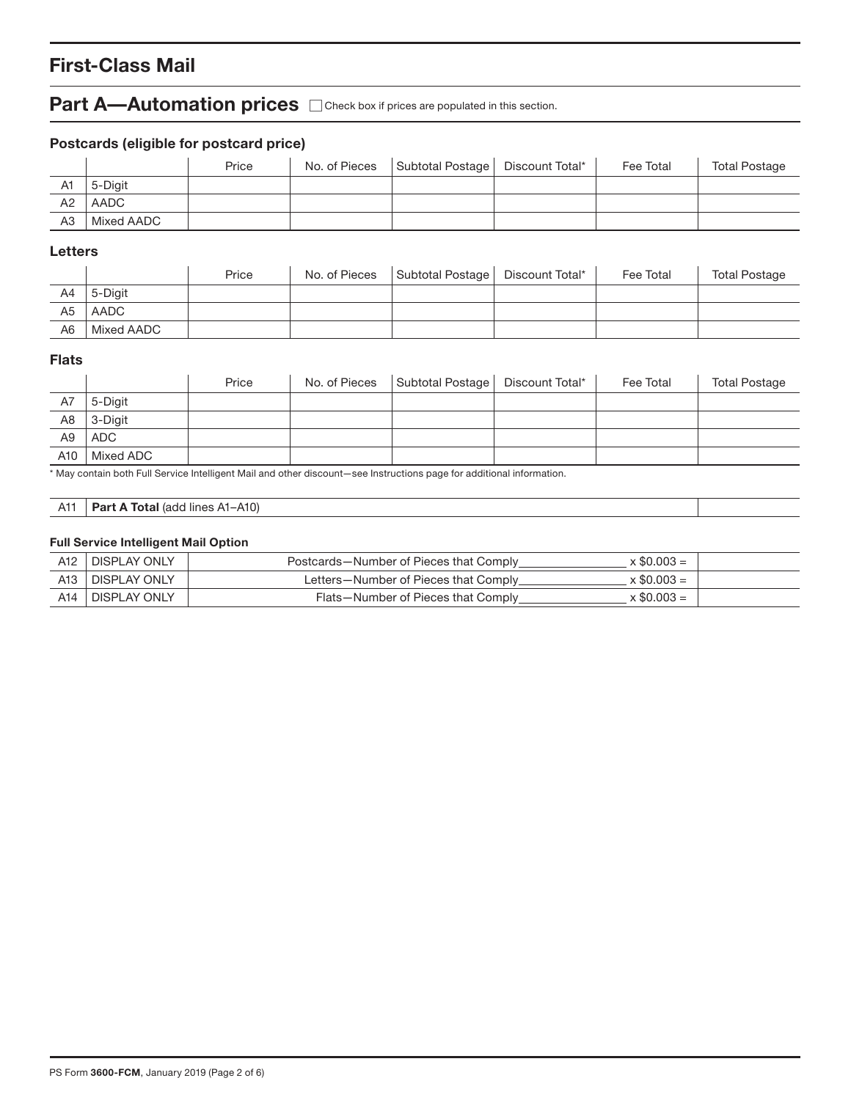# **First-Class Mail**

### **Part A—Automation prices**  $\Box$  Check box if prices are populated in this section.

### **Postcards (eligible for postcard price)**

|    |            | Price | No. of Pieces | Subtotal Postage | Discount Total* | Fee Total | <b>Total Postage</b> |
|----|------------|-------|---------------|------------------|-----------------|-----------|----------------------|
| A1 | 5-Diait    |       |               |                  |                 |           |                      |
| A2 | AADC       |       |               |                  |                 |           |                      |
| A3 | Mixed AADC |       |               |                  |                 |           |                      |

### **Letters**

|                |            | Price | No. of Pieces | Subtotal Postage | Discount Total* | Fee Total | <b>Total Postage</b> |
|----------------|------------|-------|---------------|------------------|-----------------|-----------|----------------------|
| A4             | 5-Diait    |       |               |                  |                 |           |                      |
| A5             | AADC       |       |               |                  |                 |           |                      |
| A <sub>6</sub> | Mixed AADC |       |               |                  |                 |           |                      |

### **Flats**

|                |            | Price | No. of Pieces | Subtotal Postage   Discount Total* | Fee Total | <b>Total Postage</b> |
|----------------|------------|-------|---------------|------------------------------------|-----------|----------------------|
| A7             | 5-Digit    |       |               |                                    |           |                      |
| A8             | 3-Digit    |       |               |                                    |           |                      |
| A <sub>9</sub> | <b>ADC</b> |       |               |                                    |           |                      |
| A10            | Mixed ADC  |       |               |                                    |           |                      |

\* May contain both Full Service Intelligent Mail and other discount—see Instructions page for additional information.

| A11 | <b>Part A Total</b> (add lines A1-A10) |  |
|-----|----------------------------------------|--|
|     |                                        |  |

#### **Full Service Intelligent Mail Option**

| A <sub>12</sub> | DISPLAY ONLY        | $x \$0.003 =$<br>Postcards-Number of Pieces that Comply    |  |
|-----------------|---------------------|------------------------------------------------------------|--|
| A <sub>13</sub> | <b>DISPLAY ONLY</b> | $\times$ \$0.003 =<br>Letters-Number of Pieces that Comply |  |
| A14             | <b>DISPLAY ONLY</b> | $x \$0.003 =$<br>Flats-Number of Pieces that Comply        |  |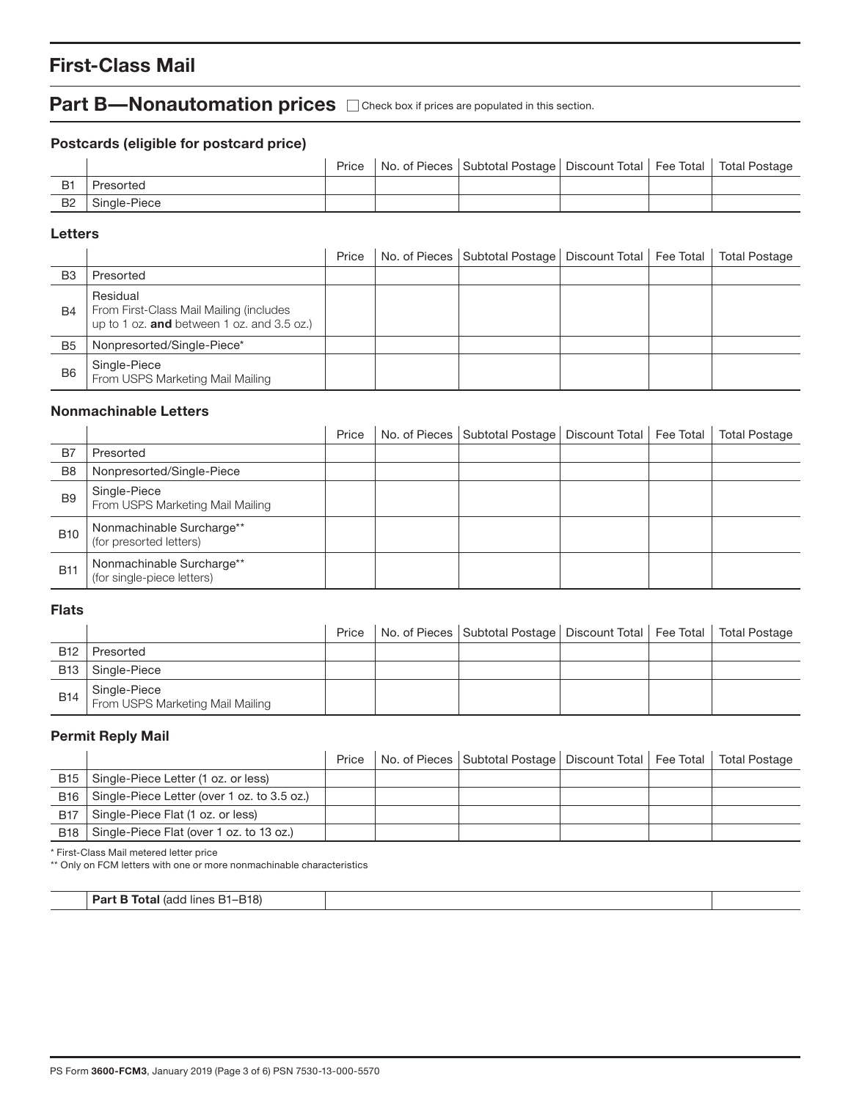# **First-Class Mail**

# **Part B—Nonautomation prices**  $\Box$  Check box if prices are populated in this section.

### **Postcards (eligible for postcard price)**

|           |              |  | Price   No. of Pieces   Subtotal Postage   Discount Total   Fee Total   Total Postage |  |  |
|-----------|--------------|--|---------------------------------------------------------------------------------------|--|--|
| <b>B1</b> | Presorted    |  |                                                                                       |  |  |
| B2 .      | Single-Piece |  |                                                                                       |  |  |

#### **Letters**

|                |                                                                                                   | Price | No. of Pieces   Subtotal Postage   Discount Total   Fee Total |  | <b>Total Postage</b> |
|----------------|---------------------------------------------------------------------------------------------------|-------|---------------------------------------------------------------|--|----------------------|
| B <sub>3</sub> | Presorted                                                                                         |       |                                                               |  |                      |
| <b>B4</b>      | Residual<br>From First-Class Mail Mailing (includes<br>up to 1 oz. and between 1 oz. and 3.5 oz.) |       |                                                               |  |                      |
| B <sub>5</sub> | Nonpresorted/Single-Piece*                                                                        |       |                                                               |  |                      |
| B <sub>6</sub> | Single-Piece<br>From USPS Marketing Mail Mailing                                                  |       |                                                               |  |                      |

#### **Nonmachinable Letters**

|                |                                                         | Price | No. of Pieces   Subtotal Postage   Discount Total   Fee Total |  | <b>Total Postage</b> |
|----------------|---------------------------------------------------------|-------|---------------------------------------------------------------|--|----------------------|
| B7             | Presorted                                               |       |                                                               |  |                      |
| B <sub>8</sub> | Nonpresorted/Single-Piece                               |       |                                                               |  |                      |
| B <sub>9</sub> | Single-Piece<br>From USPS Marketing Mail Mailing        |       |                                                               |  |                      |
| <b>B10</b>     | Nonmachinable Surcharge**<br>(for presorted letters)    |       |                                                               |  |                      |
| <b>B11</b>     | Nonmachinable Surcharge**<br>(for single-piece letters) |       |                                                               |  |                      |

#### **Flats**

|            |                                                  | Price | No. of Pieces   Subtotal Postage   Discount Total   Fee Total   Total Postage |  |  |
|------------|--------------------------------------------------|-------|-------------------------------------------------------------------------------|--|--|
| <b>B12</b> | Presorted                                        |       |                                                                               |  |  |
| <b>B13</b> | Single-Piece                                     |       |                                                                               |  |  |
| B14        | Single-Piece<br>From USPS Marketing Mail Mailing |       |                                                                               |  |  |

### **Permit Reply Mail**

|            |                                             | Price | No. of Pieces   Subtotal Postage   Discount Total   Fee Total   Total Postage |  |  |
|------------|---------------------------------------------|-------|-------------------------------------------------------------------------------|--|--|
| <b>B15</b> | Single-Piece Letter (1 oz. or less)         |       |                                                                               |  |  |
| B16        | Single-Piece Letter (over 1 oz. to 3.5 oz.) |       |                                                                               |  |  |
| <b>B17</b> | Single-Piece Flat (1 oz. or less)           |       |                                                                               |  |  |
| <b>B18</b> | Single-Piece Flat (over 1 oz. to 13 oz.)    |       |                                                                               |  |  |
|            |                                             |       |                                                                               |  |  |

\* First-Class Mail metered letter price

\*\* Only on FCM letters with one or more nonmachinable characteristics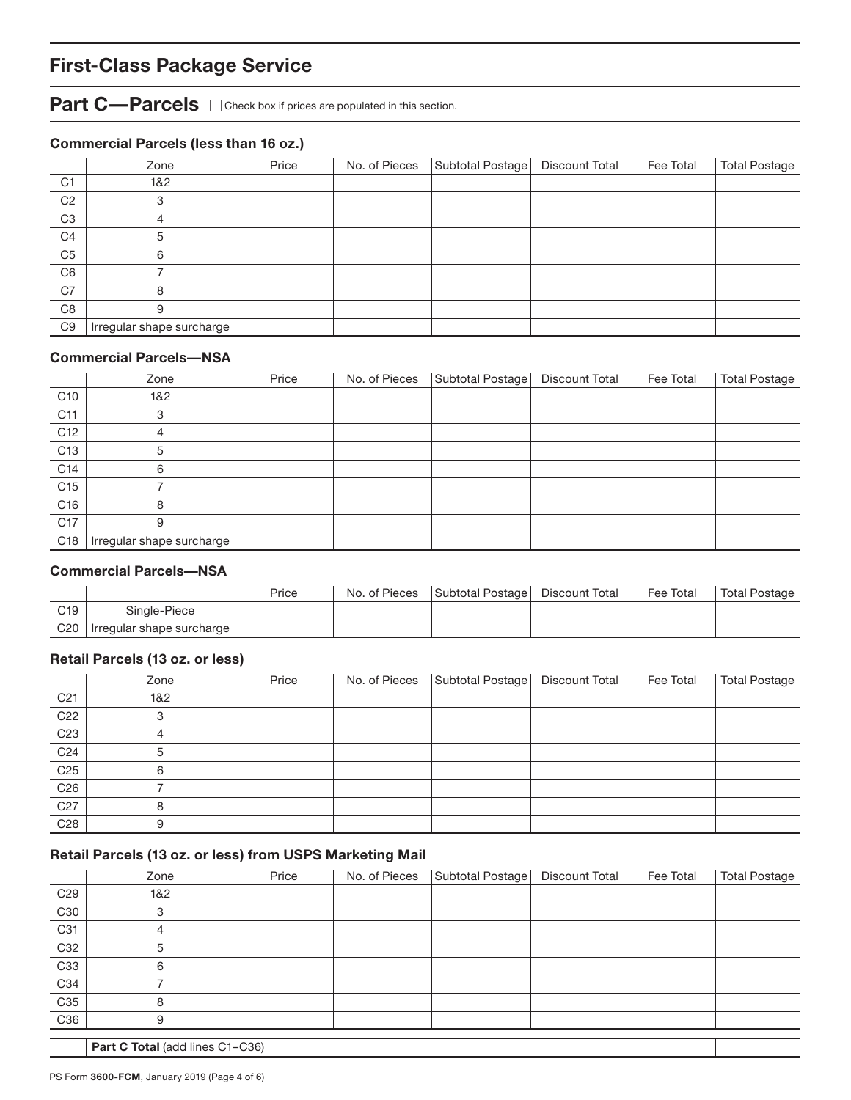# **First-Class Package Service**

Part C—Parcels  $\Box$  Check box if prices are populated in this section.

### **Commercial Parcels (less than 16 oz.)**

|                | Zone                      | Price | No. of Pieces | Subtotal Postage | Discount Total | Fee Total | <b>Total Postage</b> |
|----------------|---------------------------|-------|---------------|------------------|----------------|-----------|----------------------|
| C <sub>1</sub> | 1&2                       |       |               |                  |                |           |                      |
| C <sub>2</sub> | 3                         |       |               |                  |                |           |                      |
| C <sub>3</sub> | 4                         |       |               |                  |                |           |                      |
| C <sub>4</sub> | 5                         |       |               |                  |                |           |                      |
| C <sub>5</sub> | 6                         |       |               |                  |                |           |                      |
| C <sub>6</sub> |                           |       |               |                  |                |           |                      |
| C7             | 8                         |       |               |                  |                |           |                      |
| C8             | 9                         |       |               |                  |                |           |                      |
| C <sub>9</sub> | Irregular shape surcharge |       |               |                  |                |           |                      |

#### **Commercial Parcels—NSA**

|                 | Zone                      | Price | No. of Pieces | Subtotal Postage | Discount Total | Fee Total | <b>Total Postage</b> |
|-----------------|---------------------------|-------|---------------|------------------|----------------|-----------|----------------------|
| C <sub>10</sub> | 1&2                       |       |               |                  |                |           |                      |
| C <sub>11</sub> | 3                         |       |               |                  |                |           |                      |
| C <sub>12</sub> | 4                         |       |               |                  |                |           |                      |
| C <sub>13</sub> | 5                         |       |               |                  |                |           |                      |
| C14             | 6                         |       |               |                  |                |           |                      |
| C <sub>15</sub> |                           |       |               |                  |                |           |                      |
| C <sub>16</sub> | 8                         |       |               |                  |                |           |                      |
| C <sub>17</sub> | 9                         |       |               |                  |                |           |                      |
| C18             | Irregular shape surcharge |       |               |                  |                |           |                      |

#### **Commercial Parcels—NSA**

|                 |                                 | Price | No. of Pieces | Subtotal Postage | Discount Total | Fee Total | Total Postage |
|-----------------|---------------------------------|-------|---------------|------------------|----------------|-----------|---------------|
| C <sub>19</sub> | Single-Piece                    |       |               |                  |                |           |               |
|                 | C20   Irregular shape surcharge |       |               |                  |                |           |               |

### **Retail Parcels (13 oz. or less)**

|                 | Zone | Price | No. of Pieces Subtotal Postage   Discount Total | Fee Total | Total Postage |
|-----------------|------|-------|-------------------------------------------------|-----------|---------------|
| C <sub>21</sub> | 1&2  |       |                                                 |           |               |
| C <sub>22</sub> |      |       |                                                 |           |               |
| C <sub>23</sub> |      |       |                                                 |           |               |
| C <sub>24</sub> |      |       |                                                 |           |               |
| C <sub>25</sub> | 6    |       |                                                 |           |               |
| C <sub>26</sub> |      |       |                                                 |           |               |
| C <sub>27</sub> | 8    |       |                                                 |           |               |
| C <sub>28</sub> |      |       |                                                 |           |               |

#### **Retail Parcels (13 oz. or less) from USPS Marketing Mail**

|                 | Zone                            | Price | No. of Pieces | Subtotal Postage | Discount Total | Fee Total | Total Postage |  |
|-----------------|---------------------------------|-------|---------------|------------------|----------------|-----------|---------------|--|
| C <sub>29</sub> | 1&2                             |       |               |                  |                |           |               |  |
| C30             | 3                               |       |               |                  |                |           |               |  |
| C31             | 4                               |       |               |                  |                |           |               |  |
| C32             | 5                               |       |               |                  |                |           |               |  |
| C33             | 6                               |       |               |                  |                |           |               |  |
| C34             |                                 |       |               |                  |                |           |               |  |
| C <sub>35</sub> | 8                               |       |               |                  |                |           |               |  |
| C36             | 9                               |       |               |                  |                |           |               |  |
|                 |                                 |       |               |                  |                |           |               |  |
|                 | Part C Total (add lines C1-C36) |       |               |                  |                |           |               |  |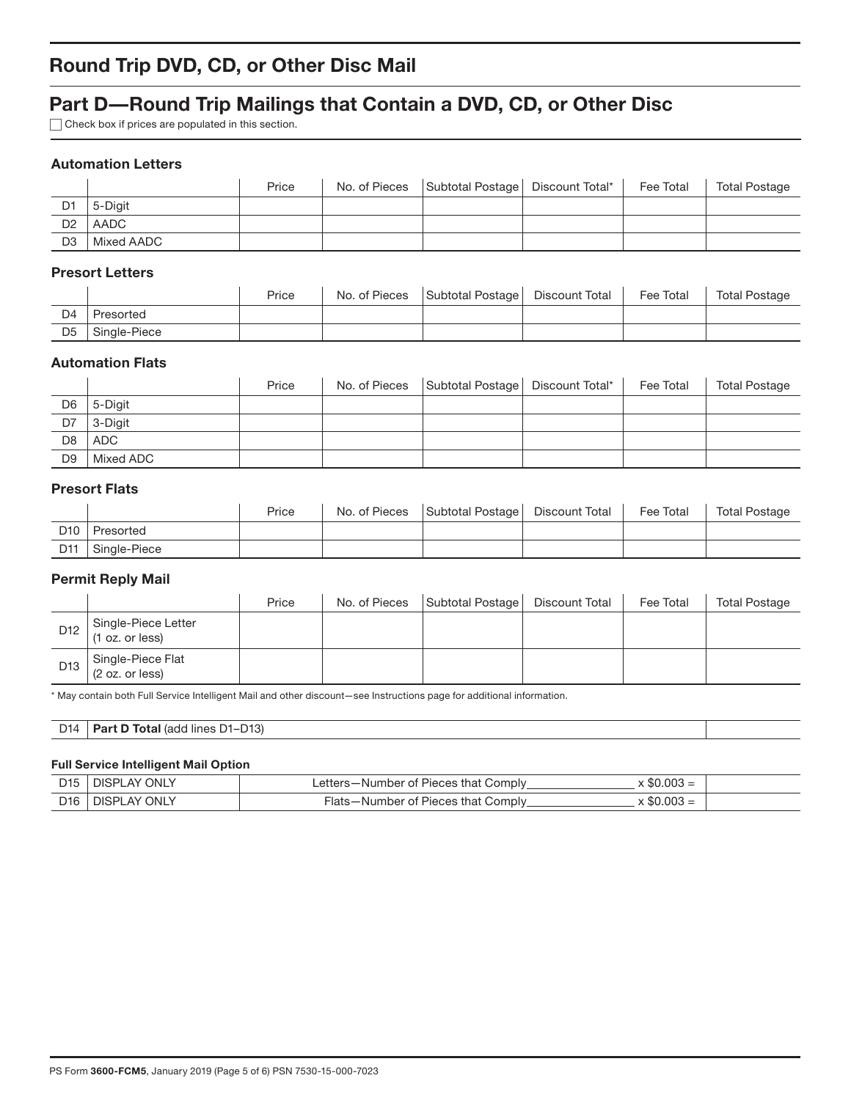# **Round Trip DVD, CD, or Other Disc Mail**

## **Part D—Round Trip Mailings that Contain a DVD, CD, or Other Disc**

Check box if prices are populated in this section.

#### **Automation Letters**

|                |            | Price | No. of Pieces | Subtotal Postage   Discount Total* | Fee Total | <b>Total Postage</b> |
|----------------|------------|-------|---------------|------------------------------------|-----------|----------------------|
| D1             | 5-Diait    |       |               |                                    |           |                      |
| D <sub>2</sub> | AADC       |       |               |                                    |           |                      |
| D <sub>3</sub> | Mixed AADC |       |               |                                    |           |                      |

### **Presort Letters**

|                |              | Price | No. of Pieces | Subtotal Postage   Discount Total | Fee Total | Total Postage |
|----------------|--------------|-------|---------------|-----------------------------------|-----------|---------------|
| D <sub>4</sub> | Presorted    |       |               |                                   |           |               |
| D5             | Single-Piece |       |               |                                   |           |               |

#### **Automation Flats**

|                |           | Price | No. of Pieces   Subtotal Postage   Discount Total* | Fee Total | <b>Total Postage</b> |
|----------------|-----------|-------|----------------------------------------------------|-----------|----------------------|
| D6             | 5-Digit   |       |                                                    |           |                      |
| D7             | 3-Digit   |       |                                                    |           |                      |
| D <sub>8</sub> | ADC       |       |                                                    |           |                      |
| D <sub>9</sub> | Mixed ADC |       |                                                    |           |                      |

### **Presort Flats**

|     |              | Price | No. of Pieces | Subtotal Postage | Discount Total | Fee Total | Total Postage |
|-----|--------------|-------|---------------|------------------|----------------|-----------|---------------|
| D10 | Presorted    |       |               |                  |                |           |               |
| D11 | Single-Piece |       |               |                  |                |           |               |

### **Permit Reply Mail**

|     |                                          | Price | No. of Pieces | Subtotal Postage | Discount Total | Fee Total | <b>Total Postage</b> |
|-----|------------------------------------------|-------|---------------|------------------|----------------|-----------|----------------------|
| D12 | Single-Piece Letter<br>(1 oz. or less)   |       |               |                  |                |           |                      |
|     | D13 Single-Piece Flat<br>(2 oz. or less) |       |               |                  |                |           |                      |

\* May contain both Full Service Intelligent Mail and other discount—see Instructions page for additional information.

| $\n  14\n$<br>D <sub>13</sub> )<br>.<br><b>Total</b> (add<br>יה<br>Dord<br>lines<br><b>DI-</b><br>$\sim$<br>້ |  |
|---------------------------------------------------------------------------------------------------------------|--|
|---------------------------------------------------------------------------------------------------------------|--|

#### **Full Service Intelligent Mail Option**

| D15 DISPLAY ONLY               | Letters-Number of Pieces that Comply | $\times$ \$0.003 = |  |
|--------------------------------|--------------------------------------|--------------------|--|
| D <sub>16</sub>   DISPLAY ONLY | Flats-Number of Pieces that Comply   | $\times$ \$0.003 = |  |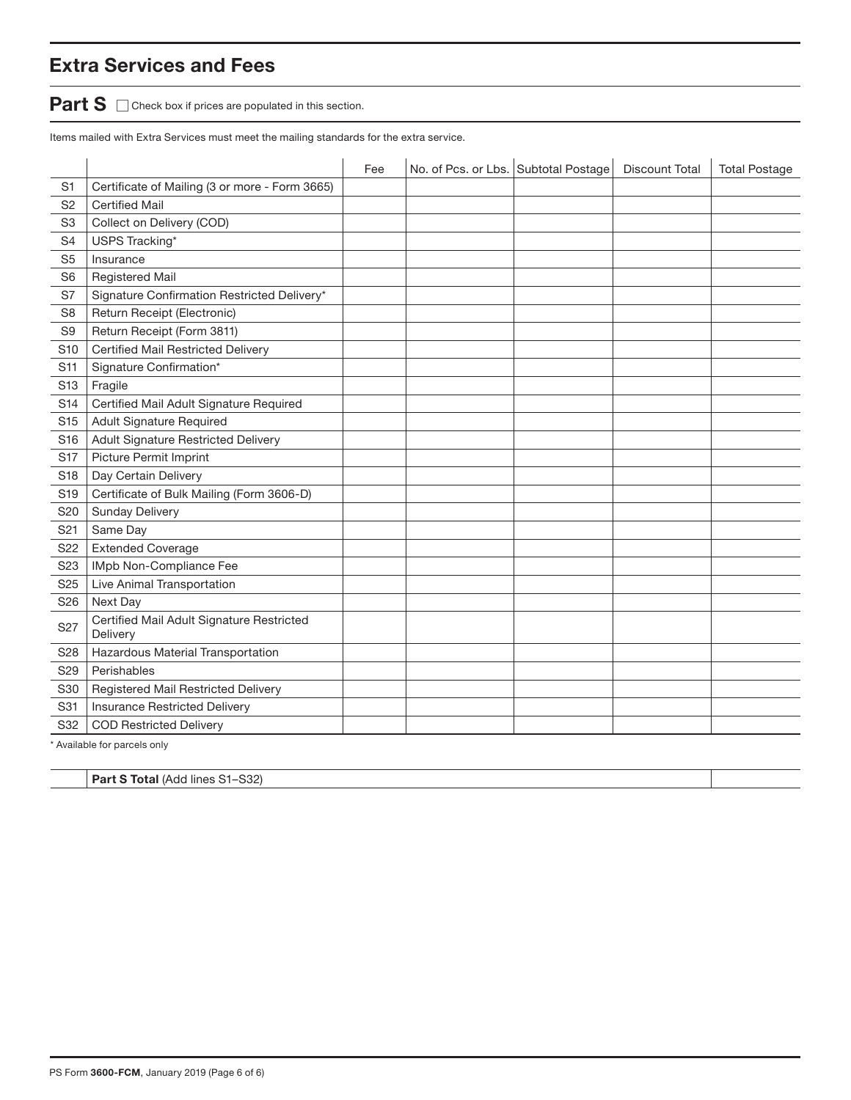# **Extra Services and Fees**

**Part S**  $\Box$  Check box if prices are populated in this section.

Items mailed with Extra Services must meet the mailing standards for the extra service.

|                 |                                                       | Fee | No. of Pcs. or Lbs. Subtotal Postage | <b>Discount Total</b> | <b>Total Postage</b> |
|-----------------|-------------------------------------------------------|-----|--------------------------------------|-----------------------|----------------------|
| S <sub>1</sub>  | Certificate of Mailing (3 or more - Form 3665)        |     |                                      |                       |                      |
| S <sub>2</sub>  | <b>Certified Mail</b>                                 |     |                                      |                       |                      |
| S <sub>3</sub>  | Collect on Delivery (COD)                             |     |                                      |                       |                      |
| S <sub>4</sub>  | USPS Tracking*                                        |     |                                      |                       |                      |
| S <sub>5</sub>  | Insurance                                             |     |                                      |                       |                      |
| S <sub>6</sub>  | Registered Mail                                       |     |                                      |                       |                      |
| S7              | Signature Confirmation Restricted Delivery*           |     |                                      |                       |                      |
| S <sub>8</sub>  | Return Receipt (Electronic)                           |     |                                      |                       |                      |
| S <sub>9</sub>  | Return Receipt (Form 3811)                            |     |                                      |                       |                      |
| S <sub>10</sub> | <b>Certified Mail Restricted Delivery</b>             |     |                                      |                       |                      |
| S <sub>11</sub> | Signature Confirmation*                               |     |                                      |                       |                      |
| S <sub>13</sub> | Fragile                                               |     |                                      |                       |                      |
| S <sub>14</sub> | Certified Mail Adult Signature Required               |     |                                      |                       |                      |
| S <sub>15</sub> | Adult Signature Required                              |     |                                      |                       |                      |
| S <sub>16</sub> | <b>Adult Signature Restricted Delivery</b>            |     |                                      |                       |                      |
| <b>S17</b>      | Picture Permit Imprint                                |     |                                      |                       |                      |
| S <sub>18</sub> | Day Certain Delivery                                  |     |                                      |                       |                      |
| S <sub>19</sub> | Certificate of Bulk Mailing (Form 3606-D)             |     |                                      |                       |                      |
| S <sub>20</sub> | <b>Sunday Delivery</b>                                |     |                                      |                       |                      |
| S <sub>21</sub> | Same Day                                              |     |                                      |                       |                      |
| S22             | <b>Extended Coverage</b>                              |     |                                      |                       |                      |
| S <sub>23</sub> | IMpb Non-Compliance Fee                               |     |                                      |                       |                      |
| S <sub>25</sub> | Live Animal Transportation                            |     |                                      |                       |                      |
| S26             | Next Day                                              |     |                                      |                       |                      |
| S <sub>27</sub> | Certified Mail Adult Signature Restricted<br>Delivery |     |                                      |                       |                      |
| S28             | Hazardous Material Transportation                     |     |                                      |                       |                      |
| S <sub>29</sub> | Perishables                                           |     |                                      |                       |                      |
| S30             | Registered Mail Restricted Delivery                   |     |                                      |                       |                      |
| S31             | Insurance Restricted Delivery                         |     |                                      |                       |                      |
| S32             | <b>COD Restricted Delivery</b>                        |     |                                      |                       |                      |

\* Available for parcels only

**Part S Total** (Add lines S1–S32)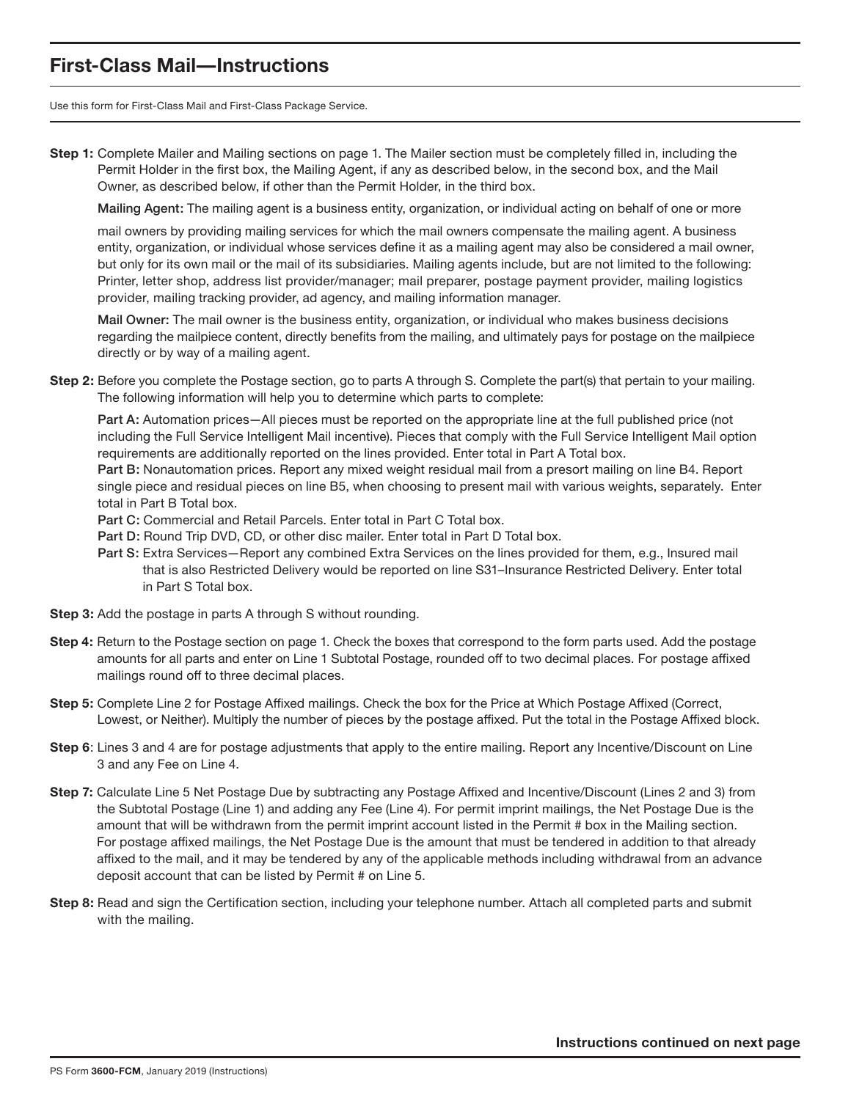## **First-Class Mail—Instructions**

Use this form for First-Class Mail and First-Class Package Service.

**Step 1:** Complete Mailer and Mailing sections on page 1. The Mailer section must be completely filled in, including the Permit Holder in the first box, the Mailing Agent, if any as described below, in the second box, and the Mail Owner, as described below, if other than the Permit Holder, in the third box.

Mailing Agent: The mailing agent is a business entity, organization, or individual acting on behalf of one or more

mail owners by providing mailing services for which the mail owners compensate the mailing agent. A business entity, organization, or individual whose services define it as a mailing agent may also be considered a mail owner, but only for its own mail or the mail of its subsidiaries. Mailing agents include, but are not limited to the following: Printer, letter shop, address list provider/manager; mail preparer, postage payment provider, mailing logistics provider, mailing tracking provider, ad agency, and mailing information manager.

Mail Owner: The mail owner is the business entity, organization, or individual who makes business decisions regarding the mailpiece content, directly benefits from the mailing, and ultimately pays for postage on the mailpiece directly or by way of a mailing agent.

**Step 2:** Before you complete the Postage section, go to parts A through S. Complete the part(s) that pertain to your mailing. The following information will help you to determine which parts to complete:

Part A: Automation prices—All pieces must be reported on the appropriate line at the full published price (not including the Full Service Intelligent Mail incentive). Pieces that comply with the Full Service Intelligent Mail option requirements are additionally reported on the lines provided. Enter total in Part A Total box.

Part B: Nonautomation prices. Report any mixed weight residual mail from a presort mailing on line B4. Report single piece and residual pieces on line B5, when choosing to present mail with various weights, separately. Enter total in Part B Total box.

Part C: Commercial and Retail Parcels. Enter total in Part C Total box.

- Part D: Round Trip DVD, CD, or other disc mailer. Enter total in Part D Total box.
- Part S: Extra Services—Report any combined Extra Services on the lines provided for them, e.g., Insured mail that is also Restricted Delivery would be reported on line S31–Insurance Restricted Delivery. Enter total in Part S Total box.
- **Step 3:** Add the postage in parts A through S without rounding.
- **Step 4:** Return to the Postage section on page 1. Check the boxes that correspond to the form parts used. Add the postage amounts for all parts and enter on Line 1 Subtotal Postage, rounded off to two decimal places. For postage affixed mailings round off to three decimal places.
- **Step 5:** Complete Line 2 for Postage Affixed mailings. Check the box for the Price at Which Postage Affixed (Correct, Lowest, or Neither). Multiply the number of pieces by the postage affixed. Put the total in the Postage Affixed block.
- **Step 6**: Lines 3 and 4 are for postage adjustments that apply to the entire mailing. Report any Incentive/Discount on Line 3 and any Fee on Line 4.
- **Step 7:** Calculate Line 5 Net Postage Due by subtracting any Postage Affixed and Incentive/Discount (Lines 2 and 3) from the Subtotal Postage (Line 1) and adding any Fee (Line 4). For permit imprint mailings, the Net Postage Due is the amount that will be withdrawn from the permit imprint account listed in the Permit # box in the Mailing section. For postage affixed mailings, the Net Postage Due is the amount that must be tendered in addition to that already affixed to the mail, and it may be tendered by any of the applicable methods including withdrawal from an advance deposit account that can be listed by Permit # on Line 5.
- **Step 8:** Read and sign the Certification section, including your telephone number. Attach all completed parts and submit with the mailing.